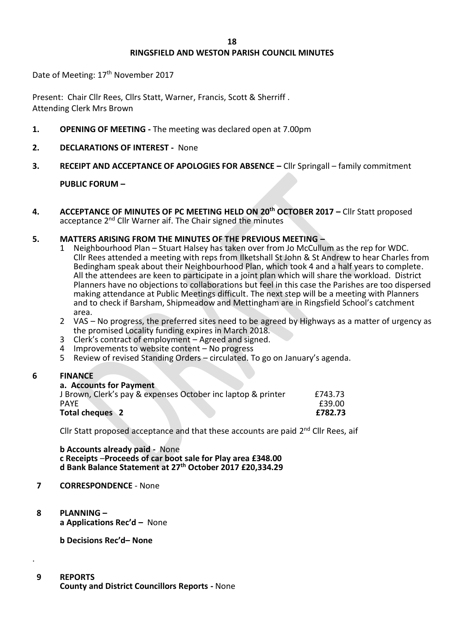# **RINGSFIELD AND WESTON PARISH COUNCIL MINUTES**

Date of Meeting: 17<sup>th</sup> November 2017

Present: Chair Cllr Rees, Cllrs Statt, Warner, Francis, Scott & Sherriff. Attending Clerk Mrs Brown

- **1. OPENING OF MEETING -** The meeting was declared open at 7.00pm
- **2. DECLARATIONS OF INTEREST** None
- **3. RECEIPT AND ACCEPTANCE OF APOLOGIES FOR ABSENCE –** Cllr Springall family commitment

## **PUBLIC FORUM –**

**4. ACCEPTANCE OF MINUTES OF PC MEETING HELD ON 20th OCTOBER 2017 –** Cllr Statt proposed acceptance 2nd Cllr Warner aif. The Chair signed the minutes

## **5. MATTERS ARISING FROM THE MINUTES OF THE PREVIOUS MEETING –**

- 1 Neighbourhood Plan Stuart Halsey has taken over from Jo McCullum as the rep for WDC. Cllr Rees attended a meeting with reps from Ilketshall St John & St Andrew to hear Charles from Bedingham speak about their Neighbourhood Plan, which took 4 and a half years to complete. All the attendees are keen to participate in a joint plan which will share the workload. District Planners have no objections to collaborations but feel in this case the Parishes are too dispersed making attendance at Public Meetings difficult. The next step will be a meeting with Planners and to check if Barsham, Shipmeadow and Mettingham are in Ringsfield School's catchment area.
- 2 VAS No progress, the preferred sites need to be agreed by Highways as a matter of urgency as the promised Locality funding expires in March 2018.
- 3 Clerk's contract of employment Agreed and signed.
- 4 Improvements to website content No progress<br>5 Review of revised Standing Orders circulated. T
- 5 Review of revised Standing Orders circulated. To go on January's agenda.

## **6 FINANCE**

| a. Accounts for Payment                                      |         |
|--------------------------------------------------------------|---------|
| J Brown, Clerk's pay & expenses October inc laptop & printer | £743.73 |
| <b>PAYE</b>                                                  | £39.00  |
| Total cheques 2                                              | £782.73 |

Cllr Statt proposed acceptance and that these accounts are paid 2<sup>nd</sup> Cllr Rees, aif

**b Accounts already paid -** None **c Receipts** –**Proceeds of car boot sale for Play area £348.00 d Bank Balance Statement at 27th October 2017 £20,334.29**

## **7 CORRESPONDENCE** - None

 **8 PLANNING – a Applications Rec'd –** None

**b Decisions Rec'd– None**

 **9 REPORTS**

.

**County and District Councillors Reports -** None